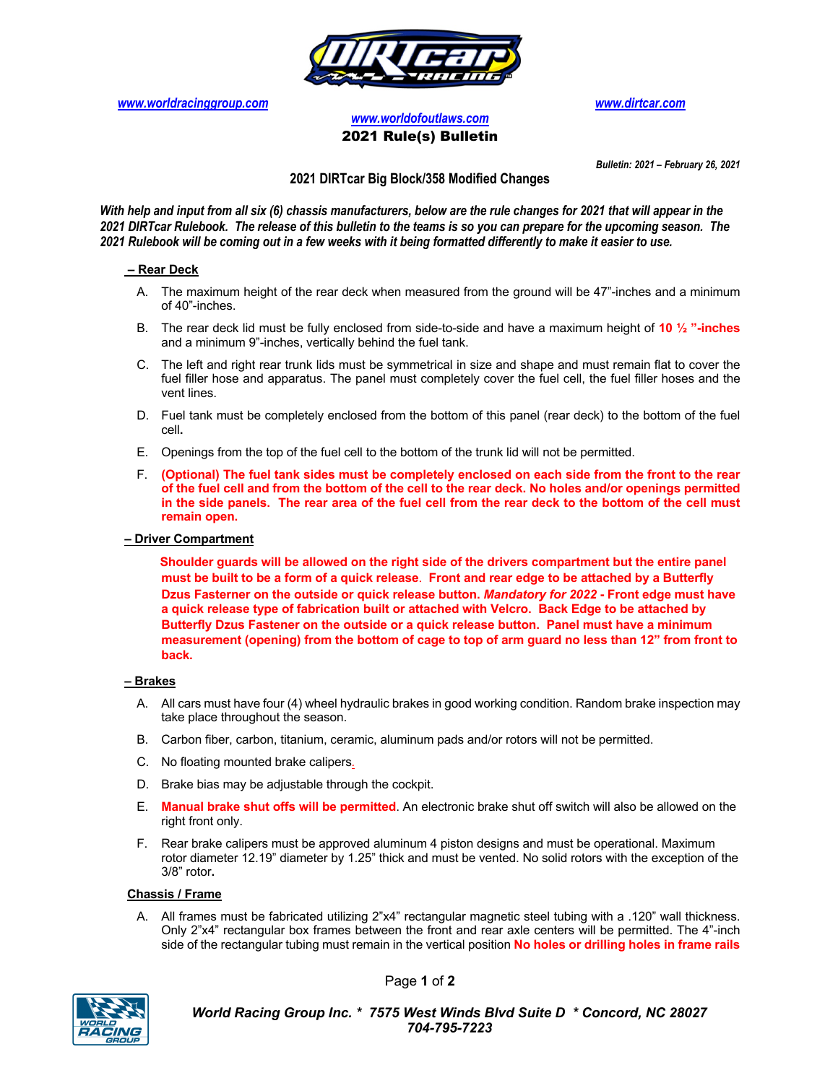

*www.worldracinggroup.com www.dirtcar.com*

*www.worldofoutlaws.com* 2021 Rule(s) Bulletin

*Bulletin: 2021 – February 26, 2021*

### **2021 DIRTcar Big Block/358 Modified Changes**

*With help and input from all six (6) chassis manufacturers, below are the rule changes for 2021 that will appear in the 2021 DIRTcar Rulebook. The release of this bulletin to the teams is so you can prepare for the upcoming season. The 2021 Rulebook will be coming out in a few weeks with it being formatted differently to make it easier to use.* 

#### **– Rear Deck**

- A. The maximum height of the rear deck when measured from the ground will be 47"-inches and a minimum of 40"-inches.
- B. The rear deck lid must be fully enclosed from side-to-side and have a maximum height of **10 ½ "-inches** and a minimum 9"-inches, vertically behind the fuel tank.
- C. The left and right rear trunk lids must be symmetrical in size and shape and must remain flat to cover the fuel filler hose and apparatus. The panel must completely cover the fuel cell, the fuel filler hoses and the vent lines.
- D. Fuel tank must be completely enclosed from the bottom of this panel (rear deck) to the bottom of the fuel cell**.**
- E. Openings from the top of the fuel cell to the bottom of the trunk lid will not be permitted.
- F. **(Optional) The fuel tank sides must be completely enclosed on each side from the front to the rear of the fuel cell and from the bottom of the cell to the rear deck. No holes and/or openings permitted in the side panels. The rear area of the fuel cell from the rear deck to the bottom of the cell must remain open.**

#### **– Driver Compartment**

 **Shoulder guards will be allowed on the right side of the drivers compartment but the entire panel must be built to be a form of a quick release**. **Front and rear edge to be attached by a Butterfly Dzus Fasterner on the outside or quick release button.** *Mandatory for 2022* **- Front edge must have a quick release type of fabrication built or attached with Velcro. Back Edge to be attached by Butterfly Dzus Fastener on the outside or a quick release button. Panel must have a minimum measurement (opening) from the bottom of cage to top of arm guard no less than 12" from front to back.** 

#### **– Brakes**

- A. All cars must have four (4) wheel hydraulic brakes in good working condition. Random brake inspection may take place throughout the season.
- B. Carbon fiber, carbon, titanium, ceramic, aluminum pads and/or rotors will not be permitted.
- C. No floating mounted brake calipers*.*
- D. Brake bias may be adjustable through the cockpit.
- E. **Manual brake shut offs will be permitted**. An electronic brake shut off switch will also be allowed on the right front only.
- F. Rear brake calipers must be approved aluminum 4 piston designs and must be operational. Maximum rotor diameter 12.19" diameter by 1.25" thick and must be vented. No solid rotors with the exception of the 3/8" rotor**.**

#### **Chassis / Frame**

A. All frames must be fabricated utilizing 2"x4" rectangular magnetic steel tubing with a .120" wall thickness. Only 2"x4" rectangular box frames between the front and rear axle centers will be permitted. The 4"-inch side of the rectangular tubing must remain in the vertical position **No holes or drilling holes in frame rails** 



Page **1** of **2**

*World Racing Group Inc. \* 7575 West Winds Blvd Suite D \* Concord, NC 28027 704-795-7223*